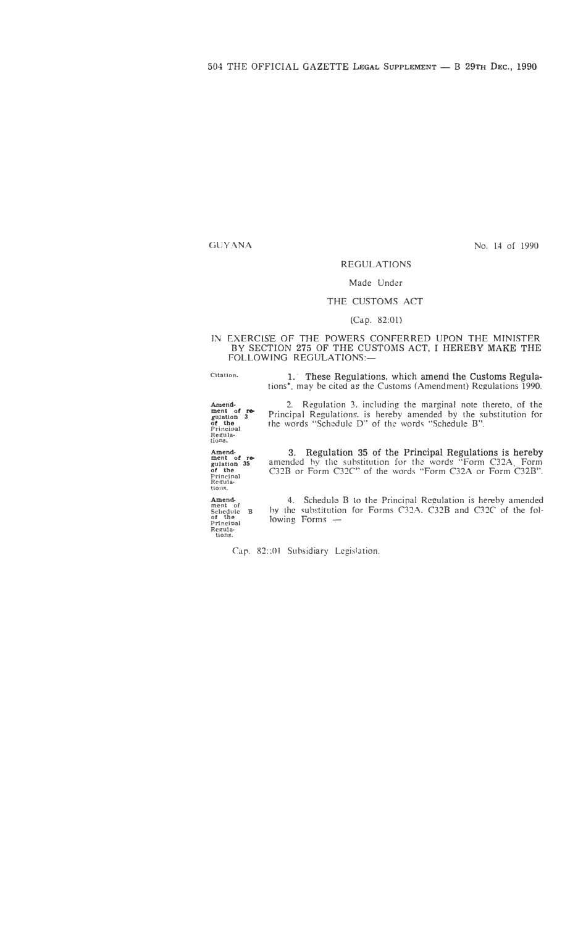GUYANA

No. 14 of 1990

### **REGULATIONS**

### Made Under

#### THE CUSTOMS ACT

#### (Cap. 82:01)

IN EXERCISE OF THE POWERS CONFERRED UPON THE MINISTER BY SECTION 275 OF THE CUSTOMS ACT, I HEREBY MAKE THE FOLLOWING REGULATIONS:-

**Citation.**  1. These Regulations, which amend the Customs Regulations\*, may be cited as the Customs (Amendment) Regulations 1990.

Amend-<br> **ment of regulation 3**<br> **of the** <br> **Principal**<br> **Regula-**<br> **tions.** 2. Regulation 3. including the marginal note thereto, of the Principal Regulations. is hereby amended by the substitution for the words "Schedule D" of the word� "Schedule B".

Amend•<br>
ment of re-<br>
gulation 35<br>
Principal<br>
Regula-<br>
tions. 3. Regulation 35 of the Principal Regulations is hereby amended hv the substitution for the words "Form C32A, Form C32B or Form C32C" of the words "Form C32A or Form C32B".

Amend.<br> **ment of Schedule B**<br> **of the principal Regula-**<br> **Regula-**<br> **tions.** 4. Schedule B to the Principal Regulation is hereby amended bv the �ubstitution for Forms C32A. C32B and C32C of the fol $lowing$  Forms  $-$ 

Cap. 82::01 Subsidiary Legislation.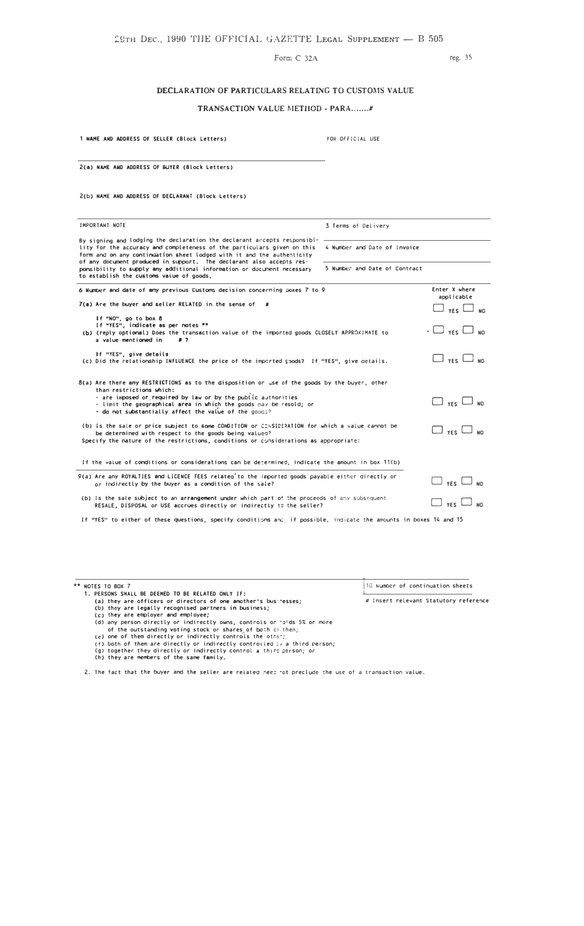Form C 32A

reg. 35

### DECLARATION OF PARTICULARS RELATING TO CUSTOMS VALUE

### TRANSACTION VALUE METHOD - PARA.......#

1 NAME AND ADDRESS OF SELLER (Block Letters)

FOR OFFICIAL USE

2(a) NAME AND ADDRESS OF BUYER (Block Letters)

2(b) NAME AND ADDRESS OF DECLARANT (Block Letters)

| <b>IMPORTANT NOTE</b>                                                                                                                                                                                                                                                                                 | 3 Terms of Delivery           |                               |
|-------------------------------------------------------------------------------------------------------------------------------------------------------------------------------------------------------------------------------------------------------------------------------------------------------|-------------------------------|-------------------------------|
| By signing and lodging the declaration the declarant accepts responsibi-<br>lity for the accuracy and completeness of the particulars given on this<br>form and on any continuation sheet lodged with it and the authenticity<br>of any document produced in support. The declarant also accepts res- | 4 Number and Date of Invoice  |                               |
| ponsibility to supply any additional information or document necessary<br>to establish the customs value of goods.                                                                                                                                                                                    | 5 Number and Date of Contract |                               |
| 6 Number and date of any previous Customs decision concerning poxes 7 to 9                                                                                                                                                                                                                            |                               | Enter X where<br>applicable   |
| $7(a)$ Are the buyer and seller RELATED in the sense of $8$                                                                                                                                                                                                                                           |                               | $\Box$ yes $\Box$ no          |
| If "NO", go to box 8<br>If "YES", indicate as per notes **<br>(b) (reply optional) Does the transaction value of the imported goods CLOSELY APPROXIMATE to<br>a value mentioned in<br>#7                                                                                                              |                               | $\cdot \Box$ yes $\Box$ no    |
| If "YES", give details<br>(c) Did the relationship INFLUENCE the price of the imported goods? If "YES", give aetails.                                                                                                                                                                                 |                               | $\square$ yes $\square$ no    |
| 8(a) Are there any RESTRICTIONS as to the disposition or use of the goods by the buyer, other<br>than restrictions which:                                                                                                                                                                             |                               |                               |
| - are imposed or required by law or by the public authorities<br>- limit the geographical area in which the goods may be resold; or<br>- do not substantially affect the value of the goods?                                                                                                          |                               | $\Box$ yes $\Box$ no          |
| (b) is the sale or price subject to some CONDITION or CONSIDERATION for which a value cannot be<br>be determined with respect to the goods being values?<br>Specify the nature of the restrictions, conditions or considerations as appropriate:                                                      |                               | $\Box$ yes $\Box$ no          |
| If the value of conditions or considerations can be determined, indicate the amount in box 11(b)                                                                                                                                                                                                      |                               |                               |
| 9(a) Are any ROYALTIES and LICENCE FEES related to the imported goods payable either directly or<br>or indirectly by the buyer as a condition of the sale?                                                                                                                                            |                               | $\Box$ $_{\rm YES}$ $\Box$ No |
| (b) Is the sate subject to an arrangement under which part of the proceeds of any subsequent<br>RESALE, DISPOSAL or USE accrues directly or indirectly to the seller?                                                                                                                                 |                               | YES <sup>l</sup>              |

If "YES" to either of these questions, specify conditions and, if possible, indicate the amounts in boxes 14 and 15

\*\* NOTES TO BOX 7<br>1. PERSONS SHALL BE DEEMED TO BE RELATED ONLY IF: 10 Number of continuation sheets PERSONS SHALL BE DEEMED TO BE RELATED ONLY IF:<br>
(a) they are officers or directors of one another's bus resses;<br>
(b) they are legally recognised partners in business;<br>
(c) they are employer and employee;<br>
(d) any person d # Insert relevant Statutory reference

- 
- 

2. The fact that the buyer and the seller are related need not preclude the use of a transaction value.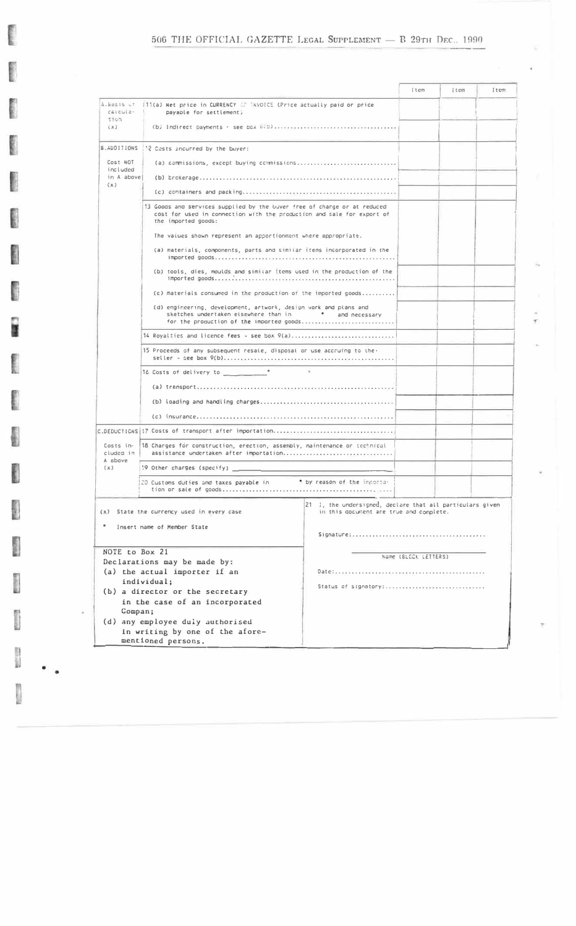## 506 THE OFFICIAL GAZETTE LEGAL SUPPLEMENT - B 29TH DEC. 1990

I

**Contract** 

and .

Î

I

L

E.

**Building** 

 $\begin{array}{c} 0 \\ 0 \\ 0 \end{array}$ 

|                              |                                                                                                                                                                           |                                                                                                      | item                 | item | Item |
|------------------------------|---------------------------------------------------------------------------------------------------------------------------------------------------------------------------|------------------------------------------------------------------------------------------------------|----------------------|------|------|
| $c$ alcula $\cdot$           | A.Basis of (11(a) Net price in CURRENCY (2) INVOICE (Price actually paid or price<br>payable for settlement;                                                              |                                                                                                      |                      |      |      |
| 11077<br>(X)                 |                                                                                                                                                                           |                                                                                                      |                      |      |      |
|                              | B.ADDITIONS   '? Cests incurred by the buyer:                                                                                                                             |                                                                                                      |                      |      |      |
| Cost NOT                     | (a) commissions, except buying commissions                                                                                                                                |                                                                                                      |                      |      |      |
| included<br>in A above       |                                                                                                                                                                           |                                                                                                      |                      |      |      |
| (x)                          |                                                                                                                                                                           |                                                                                                      |                      |      |      |
|                              | 13 Googs and services supplied by the buver free of charge or at reduced<br>cost for used in connection with the production and sale for export of<br>the imported goods: |                                                                                                      |                      |      |      |
|                              | The values shown represent an apportionment where appropriate.                                                                                                            |                                                                                                      |                      |      |      |
|                              | (a) materials, components, parts and similar items incorporated in the                                                                                                    |                                                                                                      |                      |      |      |
|                              | (b) tools, dies, moulds and similar items used in the production of the                                                                                                   |                                                                                                      |                      |      |      |
|                              | (c) materials consumed in the production of the imported goods                                                                                                            |                                                                                                      |                      |      |      |
|                              | (d) engineering, development, artwork, design work and plans and<br>sketches undertaken elsewhere than in<br>for the production of the imported goods                     | * and necessary                                                                                      |                      |      |      |
|                              | 14 Royalties and licence fees = see box 9(a)                                                                                                                              |                                                                                                      |                      |      |      |
|                              | 15 Proceeds of any subsequent resale, disposal or use accruing to the.                                                                                                    |                                                                                                      |                      |      |      |
|                              |                                                                                                                                                                           |                                                                                                      |                      |      |      |
|                              |                                                                                                                                                                           |                                                                                                      |                      |      |      |
|                              |                                                                                                                                                                           |                                                                                                      |                      |      |      |
|                              |                                                                                                                                                                           |                                                                                                      |                      |      |      |
|                              | C.DEDUCTIONS 17 Costs of transport after importation                                                                                                                      |                                                                                                      |                      |      |      |
| Costs in-                    | 18 Charges for construction, erection, assembly, maintenance or technical                                                                                                 |                                                                                                      |                      |      |      |
| cluded in<br>A above         | assistance undertaken after importation                                                                                                                                   |                                                                                                      |                      |      |      |
| (x)                          | :9 Other charges (specify) __                                                                                                                                             |                                                                                                      |                      |      |      |
|                              | 20 Customs duties and taxes payable in                                                                                                                                    | * by reason of the importa-                                                                          |                      |      |      |
|                              | $(x)$ State the currency used in every case                                                                                                                               | 21 1, the undersigned, declare that all particulars given<br>in this goodment are true and complete. |                      |      |      |
|                              | Insert name of Member State                                                                                                                                               |                                                                                                      |                      |      |      |
|                              |                                                                                                                                                                           |                                                                                                      |                      |      |      |
| NOTE to Box 21               |                                                                                                                                                                           |                                                                                                      |                      |      |      |
| Declarations may be made by: |                                                                                                                                                                           |                                                                                                      |                      |      |      |
|                              |                                                                                                                                                                           |                                                                                                      |                      |      |      |
|                              |                                                                                                                                                                           | Status of signatory:                                                                                 |                      |      |      |
|                              |                                                                                                                                                                           |                                                                                                      |                      |      |      |
|                              |                                                                                                                                                                           |                                                                                                      |                      |      |      |
|                              |                                                                                                                                                                           |                                                                                                      |                      |      |      |
|                              | in writing by one of the afore-                                                                                                                                           |                                                                                                      |                      |      |      |
|                              |                                                                                                                                                                           |                                                                                                      |                      |      |      |
| Compan;                      | (a) the actual importer if an<br>individual;<br>(b) a director or the secretary<br>in the case of an incorporated<br>(d) any employee duly authorised                     |                                                                                                      | Name (BLOCK LETTERS) |      |      |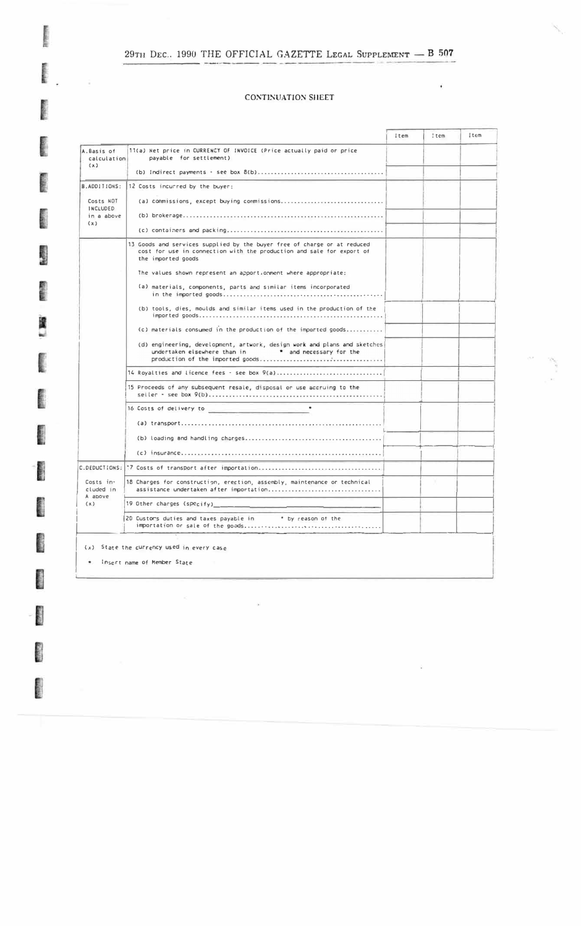# $29\text{th}$  Dec., 1990 THE OFFICIAL GAZETTE LEGAL SUPPLEMENT  $-$  B 507

**Burnich** 

**Realized** 

**Beauti** 

**COMMON** 

**C** 

**FRANCIS** 

医毛细胞

ing<br>L

ľ

**Basic** 

I

**Colors** 

**CONTROL** 

### **CONTINUATION SHEET**

¥

|                              |                                                                                                                                                                         | Item | Item | $!$ tem |
|------------------------------|-------------------------------------------------------------------------------------------------------------------------------------------------------------------------|------|------|---------|
| A.Basis of<br>calculation    | 11(a) Net price in CURRENCY OF INVOICE (Price actually paid or price<br>payable for settlement)                                                                         |      |      |         |
| (x)                          |                                                                                                                                                                         |      |      |         |
| B.ADDITIONS:                 | 12 Costs incurred by the buyer:                                                                                                                                         |      |      |         |
| Costs NOT<br><b>INCLUDED</b> |                                                                                                                                                                         |      |      |         |
| in a above<br>(x)            |                                                                                                                                                                         |      |      |         |
|                              |                                                                                                                                                                         |      |      |         |
|                              | 13 Goods and services supplied by the buyer free of charge or at reduced<br>cost for use in connection with the production and sale for export of<br>the imported goods |      |      |         |
|                              | The values shown represent an apport orment where appropriate:                                                                                                          |      |      |         |
|                              | (a) materials, components, parts and similar items incorporated                                                                                                         |      |      |         |
|                              | (b) tools, dies, moulds and similar items used in the production of the                                                                                                 |      |      |         |
|                              | (c) materials consumed in the production of the imported goods                                                                                                          |      |      |         |
|                              | (d) engineering, development, artwork, design work and plans and sketches<br>undertaken elsewhere than $\overline{\ }$ n $\overline{\ }$ and necessary for the          |      |      |         |
|                              | 14 Royalties and licence fees - see box 9(a)                                                                                                                            |      |      |         |
|                              | 15 Proceeds of any subsequent resale, disposal or use accruing to the                                                                                                   |      |      |         |
|                              |                                                                                                                                                                         |      |      |         |
|                              |                                                                                                                                                                         |      |      |         |
|                              |                                                                                                                                                                         |      |      |         |
|                              |                                                                                                                                                                         |      |      |         |
|                              |                                                                                                                                                                         |      |      |         |
| Costs in-<br>cluded in       | 18 Charges for construction, erection, assembly, maintenance or technical<br>assistance undertaken after importation                                                    |      |      |         |
| A above<br>(x)               | 19 Other charges (specify)                                                                                                                                              |      |      |         |
|                              | 20 Customs duties and taxes payable in<br>* by reason of the                                                                                                            |      |      |         |

 $\tilde{\mathbf{p}}$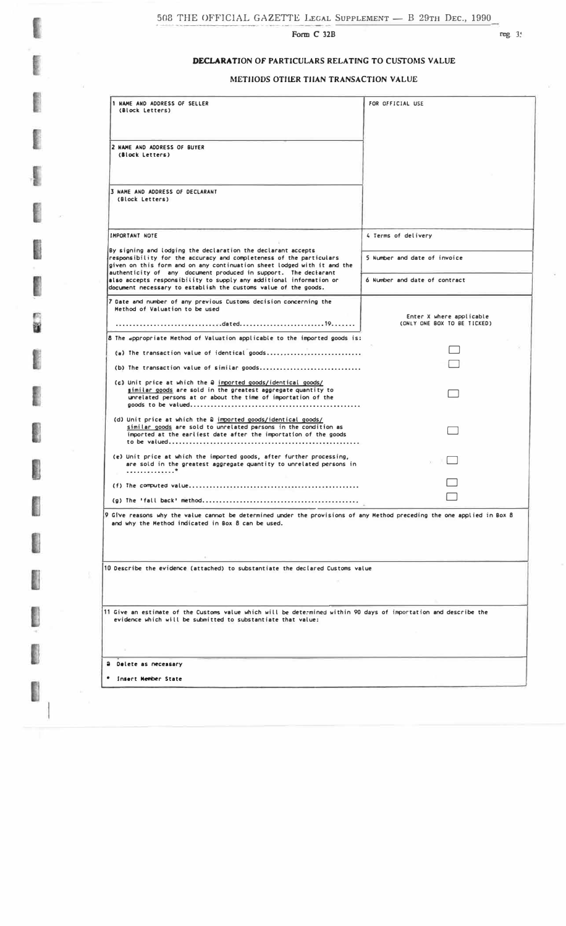Form C 32B

## **DECLARATION OF PARTICULARS RELATING TO CUSTOMS VALUE**

### **METHODS OTHER THAN TRANSACTION VALUE**

| 1 NAME AND ADDRESS OF SELLER<br>FOR OFFICIAL USE<br>(Block Letters)                                                                                                                                            |                               |  |
|----------------------------------------------------------------------------------------------------------------------------------------------------------------------------------------------------------------|-------------------------------|--|
| 2 NAME AND ADDRESS OF BUYER<br>(Block Letters)                                                                                                                                                                 |                               |  |
| 3 NAME AND ADDRESS OF DECLARANT<br>(Block Letters)                                                                                                                                                             |                               |  |
| <b>IMPORTANT NOTE</b>                                                                                                                                                                                          | 4 Terms of delivery           |  |
| By signing and lodging the declaration the declarant accepts<br>responsibility for the accuracy and completeness of the particulars<br>given on this form and on any continuation sheet lodged with it and the | 5 Number and date of invoice  |  |
| authenticity of any document produced in support. The declarant<br>also accepts responsibility to supply any additional information or<br>document necessary to establish the customs value of the goods.      | 6 Number and date of contract |  |
| 7 Date and number of any previous Customs decision concerning the<br>Method of Valuation to be used                                                                                                            | Enter X where applicable      |  |
|                                                                                                                                                                                                                | (ONLY ONE BOX TO BE TICKED)   |  |
| 8 The appropriate Method of Valuation applicable to the imported goods is:                                                                                                                                     |                               |  |
| (a) The transaction value of identical goods                                                                                                                                                                   |                               |  |
| (b) The transaction value of similar goods                                                                                                                                                                     |                               |  |
| (c) Unit price at which the a imported goods/identical goods/<br>similar goods are sold in the greatest aggregate quantity to<br>unrelated persons at or about the time of importation of the                  |                               |  |
| (d) Unit price at which the a imported goods/identical goods/<br>similar goods are sold to unrelated persons in the condition as<br>imported at the earliest date after the importation of the goods           |                               |  |
| (e) Unit price at which the imported goods, after further processing,<br>are sold in the greatest aggregate quantity to unrelated persons in<br>. <sup>*</sup>                                                 |                               |  |
|                                                                                                                                                                                                                |                               |  |
|                                                                                                                                                                                                                |                               |  |
| 9 Give reasons why the value cannot be determined under the provisions of any Method preceding the one applied in Box 8<br>and why the Method indicated in Box 8 can be used.                                  |                               |  |
| 10 Describe the evidence (attached) to substantiate the declared Customs value                                                                                                                                 |                               |  |
| 11 Give an estimate of the Customs value which will be determined within 90 days of importation and describe the<br>evidence which will be submitted to substantiate that value:                               |                               |  |
| a Delete as necessary                                                                                                                                                                                          |                               |  |
| * Insert Member State                                                                                                                                                                                          |                               |  |
|                                                                                                                                                                                                                |                               |  |

ſ **Color** I **Control** l E I Ľ a a I P I Í l 

 $\sim$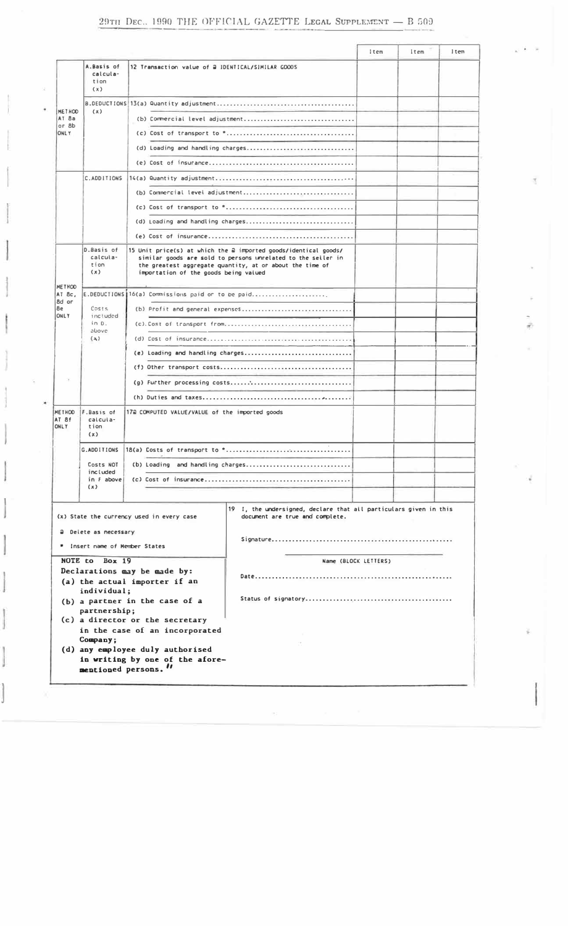|                                         |                                       |                                                                                                                                                                                                                                      | Item                 | Item | $l$ tem |
|-----------------------------------------|---------------------------------------|--------------------------------------------------------------------------------------------------------------------------------------------------------------------------------------------------------------------------------------|----------------------|------|---------|
|                                         | A.Basis of<br>calcula-<br>tion<br>(x) | 12 Transaction value of a IDENTICAL/SIMILAR GOODS                                                                                                                                                                                    |                      |      |         |
| METHOD<br>AT 8a<br>or 8b<br><b>ONLY</b> |                                       |                                                                                                                                                                                                                                      |                      |      |         |
|                                         | (x)                                   | (b) Commercial level adjustment                                                                                                                                                                                                      |                      |      |         |
|                                         |                                       |                                                                                                                                                                                                                                      |                      |      |         |
|                                         |                                       | (d) Loading and handling charges                                                                                                                                                                                                     |                      |      |         |
|                                         |                                       |                                                                                                                                                                                                                                      |                      |      |         |
|                                         | C.ADDITIONS                           |                                                                                                                                                                                                                                      |                      |      |         |
|                                         |                                       | (b) Commercial level adjustment                                                                                                                                                                                                      |                      |      |         |
|                                         |                                       |                                                                                                                                                                                                                                      |                      |      |         |
|                                         |                                       | (d) Loading and handling charges                                                                                                                                                                                                     |                      |      |         |
|                                         |                                       |                                                                                                                                                                                                                                      |                      |      |         |
|                                         | D.Basis of<br>calcula-<br>tion<br>(x) | 15 Unit price(s) at which the a imported goods/identical goods/<br>similar goods are sold to persons unrelated to the seller in<br>the greatest aggregate quantity, at or about the time of<br>importation of the goods being valued |                      |      |         |
| METHOD<br>AT 8c,                        |                                       | E.DEDUCTIONS 16(a) Commissions paid or to be paid                                                                                                                                                                                    |                      |      |         |
| 8d or<br>8e                             | Costs                                 |                                                                                                                                                                                                                                      |                      |      |         |
| <b>ONLY</b>                             | included<br>in 0.                     |                                                                                                                                                                                                                                      |                      |      |         |
|                                         | above<br>$(\lambda)$                  |                                                                                                                                                                                                                                      |                      |      |         |
|                                         |                                       | (e) Loading and handling charges                                                                                                                                                                                                     |                      |      |         |
|                                         |                                       |                                                                                                                                                                                                                                      |                      |      |         |
|                                         |                                       |                                                                                                                                                                                                                                      |                      |      |         |
|                                         |                                       |                                                                                                                                                                                                                                      |                      |      |         |
| <b>METHOD</b><br>AT 8f<br><b>ONLY</b>   | F.Basis of<br>calcula-<br>tion<br>(x) | 17a COMPUTED VALUE/VALUE of the imported goods                                                                                                                                                                                       |                      |      |         |
|                                         |                                       | G.ADDITIONS $ 18(a)$ Costs of transport to $*$                                                                                                                                                                                       |                      |      |         |
|                                         | Costs NOT                             | (b) Loading and handling charges                                                                                                                                                                                                     |                      |      |         |
|                                         | included<br>$in$ $F$ above            |                                                                                                                                                                                                                                      |                      |      |         |
|                                         | (x)                                   |                                                                                                                                                                                                                                      |                      |      |         |
|                                         | a Delete as necessary                 | 19 I, the undersigned, declare that all particulars given in this<br>(x) State the currency used in every case<br>document are true and complete.                                                                                    |                      |      |         |
|                                         | Insert name of Member States          |                                                                                                                                                                                                                                      |                      |      |         |
|                                         | NOTE to Box 19<br>individual;         | Declarations may be made by:<br>(a) the actual importer if an                                                                                                                                                                        | Name (BLOCK LETTERS) |      |         |
|                                         | partnership;                          | (b) a partner in the case of a<br>(c) a director or the secretary                                                                                                                                                                    |                      |      |         |
|                                         | Company;<br>mentioned persons."       | in the case of an incorporated<br>(d) any employee duly authorised<br>in writing by one of the afore-                                                                                                                                |                      |      |         |

]